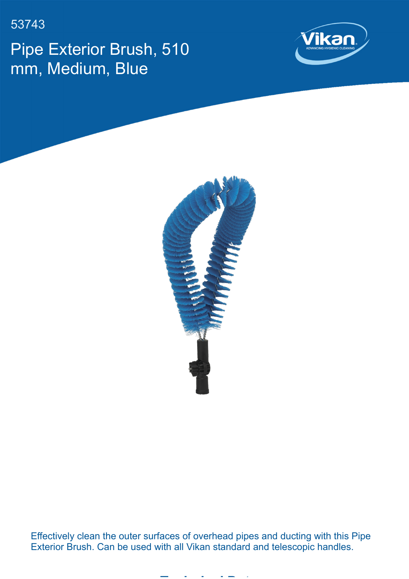53743

Pipe Exterior Brush, 510 mm, Medium, Blue





Effectively clean the outer surfaces of overhead pipes and ducting with this Pipe Exterior Brush. Can be used with all Vikan standard and telescopic handles.